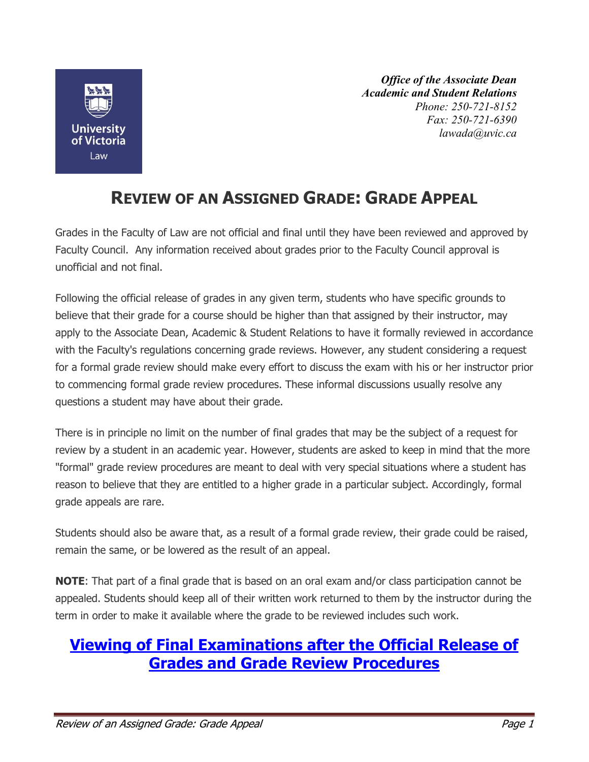

*Office of the Associate Dean Academic and Student Relations Phone: 250-721-8152 Fax: 250-721-6390 lawada@uvic.ca*

## **REVIEW OF AN ASSIGNED GRADE: GRADE APPEAL**

Grades in the Faculty of Law are not official and final until they have been reviewed and approved by Faculty Council. Any information received about grades prior to the Faculty Council approval is unofficial and not final.

Following the official release of grades in any given term, students who have specific grounds to believe that their grade for a course should be higher than that assigned by their instructor, may apply to the Associate Dean, Academic & Student Relations to have it formally reviewed in accordance with the Faculty's regulations concerning grade reviews. However, any student considering a request for a formal grade review should make every effort to discuss the exam with his or her instructor prior to commencing formal grade review procedures. These informal discussions usually resolve any questions a student may have about their grade.

There is in principle no limit on the number of final grades that may be the subject of a request for review by a student in an academic year. However, students are asked to keep in mind that the more "formal" grade review procedures are meant to deal with very special situations where a student has reason to believe that they are entitled to a higher grade in a particular subject. Accordingly, formal grade appeals are rare.

Students should also be aware that, as a result of a formal grade review, their grade could be raised, remain the same, or be lowered as the result of an appeal.

**NOTE**: That part of a final grade that is based on an oral exam and/or class participation cannot be appealed. Students should keep all of their written work returned to them by the instructor during the term in order to make it available where the grade to be reviewed includes such work.

## **[Viewing of Final Examinations after the Official Release of](http://www.uvic.ca/law/assets/docs/studentandacademicmatterspagedocs/Exam%20viewing%20and%20grade%20appeals.pdf)  [Grades and Grade Review Procedures](http://www.uvic.ca/law/assets/docs/studentandacademicmatterspagedocs/Exam%20viewing%20and%20grade%20appeals.pdf)**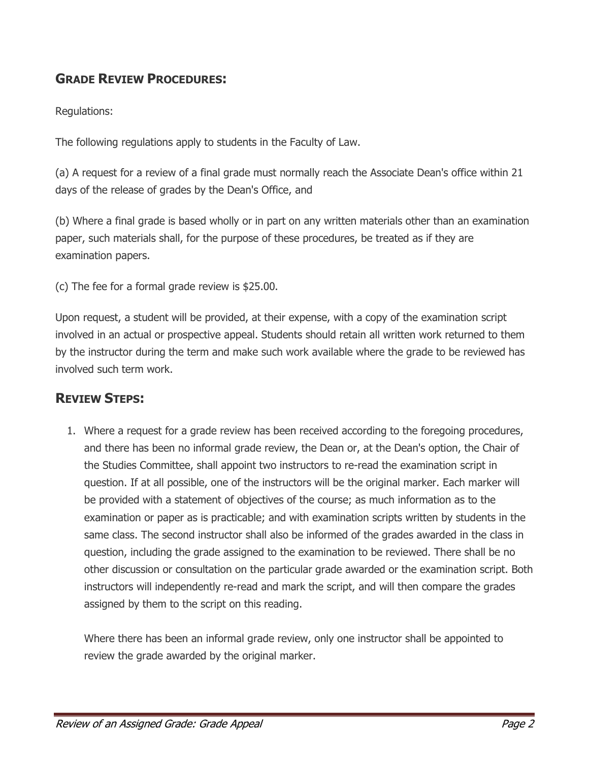## **GRADE REVIEW PROCEDURES:**

Regulations:

The following regulations apply to students in the Faculty of Law.

(a) A request for a review of a final grade must normally reach the Associate Dean's office within 21 days of the release of grades by the Dean's Office, and

(b) Where a final grade is based wholly or in part on any written materials other than an examination paper, such materials shall, for the purpose of these procedures, be treated as if they are examination papers.

(c) The fee for a formal grade review is \$25.00.

Upon request, a student will be provided, at their expense, with a copy of the examination script involved in an actual or prospective appeal. Students should retain all written work returned to them by the instructor during the term and make such work available where the grade to be reviewed has involved such term work.

## **REVIEW STEPS:**

1. Where a request for a grade review has been received according to the foregoing procedures, and there has been no informal grade review, the Dean or, at the Dean's option, the Chair of the Studies Committee, shall appoint two instructors to re-read the examination script in question. If at all possible, one of the instructors will be the original marker. Each marker will be provided with a statement of objectives of the course; as much information as to the examination or paper as is practicable; and with examination scripts written by students in the same class. The second instructor shall also be informed of the grades awarded in the class in question, including the grade assigned to the examination to be reviewed. There shall be no other discussion or consultation on the particular grade awarded or the examination script. Both instructors will independently re-read and mark the script, and will then compare the grades assigned by them to the script on this reading.

Where there has been an informal grade review, only one instructor shall be appointed to review the grade awarded by the original marker.